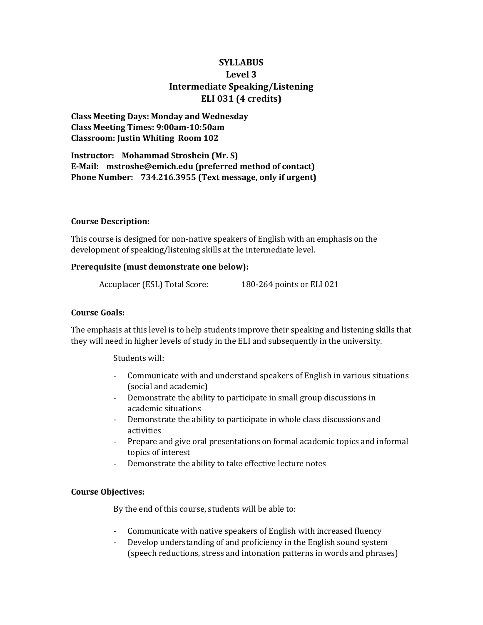# **SYLLABUS Level 3 Intermediate Speaking/Listening ELI 031 (4 credits)**

**Class Meeting Days: Monday and Wednesday Class Meeting Times: 9:00am-10:50am Classroom: Justin Whiting Room 102**

**Instructor: Mohammad Stroshein (Mr. S) E-Mail: mstroshe@emich.edu (preferred method of contact) Phone Number: 734.216.3955 (Text message, only if urgent)**

### **Course Description:**

This course is designed for non-native speakers of English with an emphasis on the development of speaking/listening skills at the intermediate level.

## **Prerequisite (must demonstrate one below):**

Accuplacer (ESL) Total Score: 180-264 points or ELI 021

### **Course Goals:**

The emphasis at this level is to help students improve their speaking and listening skills that they will need in higher levels of study in the ELI and subsequently in the university.

Students will:

- Communicate with and understand speakers of English in various situations (social and academic)
- Demonstrate the ability to participate in small group discussions in academic situations
- Demonstrate the ability to participate in whole class discussions and activities
- Prepare and give oral presentations on formal academic topics and informal topics of interest
- Demonstrate the ability to take effective lecture notes

### **Course Objectives:**

By the end of this course, students will be able to:

- Communicate with native speakers of English with increased fluency
- Develop understanding of and proficiency in the English sound system (speech reductions, stress and intonation patterns in words and phrases)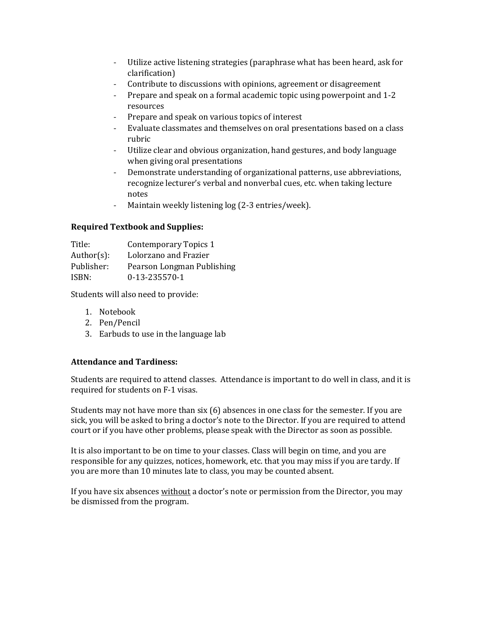- Utilize active listening strategies (paraphrase what has been heard, ask for clarification)
- Contribute to discussions with opinions, agreement or disagreement
- Prepare and speak on a formal academic topic using powerpoint and 1-2 resources
- Prepare and speak on various topics of interest
- Evaluate classmates and themselves on oral presentations based on a class rubric
- Utilize clear and obvious organization, hand gestures, and body language when giving oral presentations
- Demonstrate understanding of organizational patterns, use abbreviations, recognize lecturer's verbal and nonverbal cues, etc. when taking lecture notes
- Maintain weekly listening log (2-3 entries/week).

## **Required Textbook and Supplies:**

| Title:        | Contemporary Topics 1      |
|---------------|----------------------------|
| $Author(s)$ : | Lolorzano and Frazier      |
| Publisher:    | Pearson Longman Publishing |
| ISBN:         | 0-13-235570-1              |

Students will also need to provide:

- 1. Notebook
- 2. Pen/Pencil
- 3. Earbuds to use in the language lab

## **Attendance and Tardiness:**

Students are required to attend classes. Attendance is important to do well in class, and it is required for students on F-1 visas.

Students may not have more than six (6) absences in one class for the semester. If you are sick, you will be asked to bring a doctor's note to the Director. If you are required to attend court or if you have other problems, please speak with the Director as soon as possible.

It is also important to be on time to your classes. Class will begin on time, and you are responsible for any quizzes, notices, homework, etc. that you may miss if you are tardy. If you are more than 10 minutes late to class, you may be counted absent.

If you have six absences without a doctor's note or permission from the Director, you may be dismissed from the program.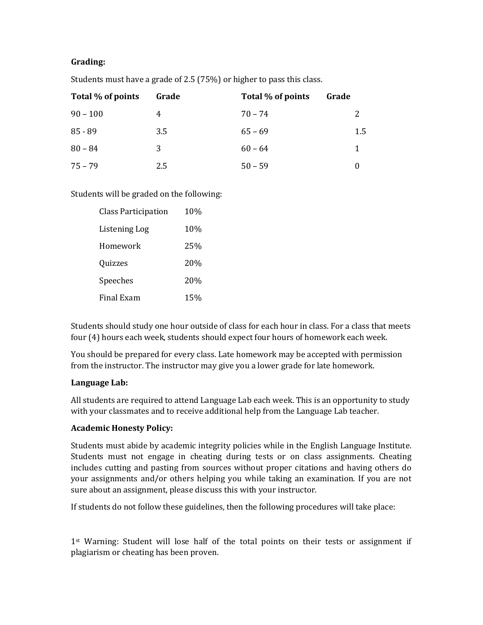### **Grading:**

| Total % of points | Grade | Total % of points | Grade |
|-------------------|-------|-------------------|-------|
| $90 - 100$        | 4     | $70 - 74$         | 2     |
| $85 - 89$         | 3.5   | $65 - 69$         | 1.5   |
| $80 - 84$         | 3     | $60 - 64$         | 1     |
| $75 - 79$         | 2.5   | $50 - 59$         |       |

Students must have a grade of 2.5 (75%) or higher to pass this class.

## Students will be graded on the following:

| <b>Class Participation</b> | 10%             |
|----------------------------|-----------------|
| Listening Log              | 10%             |
| Homework                   | 25%             |
| Quizzes                    | 20 <sub>%</sub> |
| Speeches                   | 20%             |
| <b>Final Exam</b>          | 15%             |

Students should study one hour outside of class for each hour in class. For a class that meets four (4) hours each week, students should expect four hours of homework each week.

You should be prepared for every class. Late homework may be accepted with permission from the instructor. The instructor may give you a lower grade for late homework.

### **Language Lab:**

All students are required to attend Language Lab each week. This is an opportunity to study with your classmates and to receive additional help from the Language Lab teacher.

## **Academic Honesty Policy:**

Students must abide by academic integrity policies while in the English Language Institute. Students must not engage in cheating during tests or on class assignments. Cheating includes cutting and pasting from sources without proper citations and having others do your assignments and/or others helping you while taking an examination. If you are not sure about an assignment, please discuss this with your instructor.

If students do not follow these guidelines, then the following procedures will take place:

1<sup>st</sup> Warning: Student will lose half of the total points on their tests or assignment if plagiarism or cheating has been proven.